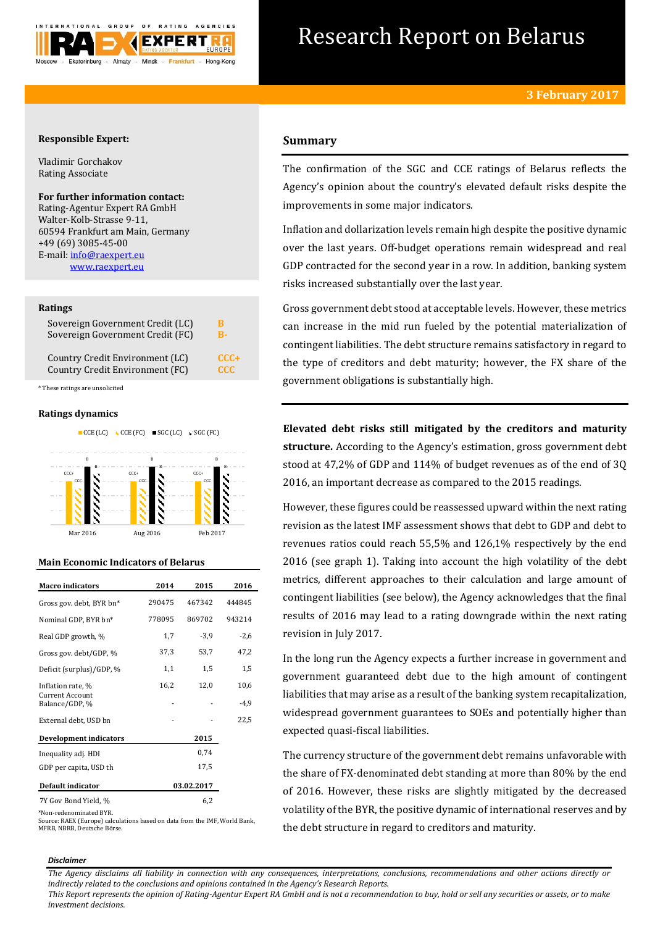

# Research Report on Belarus

# **Responsible Expert:**

Vladimir Gorchakov Rating Associate

# **For further information contact:**

Rating-Agentur Expert RA GmbH Walter-Kolb-Strasse 9-11, 60594 Frankfurt am Main, Germany +49 (69) 3085-45-00 E-mail[: info@raexpert.eu](mailto:info@raexpert.eu) [www.raexpert.eu](http://raexpert.eu/)

## **Ratings**

| Sovereign Government Credit (LC) | В          |
|----------------------------------|------------|
| Sovereign Government Credit (FC) | R-         |
| Country Credit Environment (LC)  | $CCC+$     |
| Country Credit Environment (FC)  | <b>CCC</b> |

\* These ratings are unsolicited

# **Ratings dynamics**



# **Main Economic Indicators of Belarus**

| <b>Macro</b> indicators                  | 2014       | 2015   | 2016   |
|------------------------------------------|------------|--------|--------|
| Gross gov. debt, BYR bn*                 | 290475     | 467342 | 444845 |
| Nominal GDP, BYR bn*                     | 778095     | 869702 | 943214 |
| Real GDP growth, %                       | 1,7        | $-3,9$ | $-2,6$ |
| Gross gov. debt/GDP, %                   | 37,3       | 53,7   | 47,2   |
| Deficit (surplus)/GDP, %                 | 1,1        | 1,5    | 1,5    |
| Inflation rate, %                        | 16,2       | 12,0   | 10,6   |
| <b>Current Account</b><br>Balance/GDP, % |            |        | -4,9   |
| External debt, USD bn                    |            |        | 22,5   |
| <b>Development indicators</b>            |            | 2015   |        |
| Inequality adj. HDI                      |            | 0,74   |        |
| GDP per capita, USD th                   |            | 17,5   |        |
| Default indicator                        | 03.02.2017 |        |        |
| 7Y Gov Bond Yield, %                     |            | 6,2    |        |

\*Non-redenominated BYR.

Source: RAEX (Europe) calculations based on data from the IMF, World Bank, MFRB, NBRB, Deutsche Börse.

# **Summary**

The confirmation of the SGC and CCE ratings of Belarus reflects the Agency's opinion about the country's elevated default risks despite the improvements in some major indicators.

Inflation and dollarization levels remain high despite the positive dynamic over the last years. Off-budget operations remain widespread and real GDP contracted for the second year in a row. In addition, banking system risks increased substantially over the last year.

Gross government debt stood at acceptable levels. However, these metrics can increase in the mid run fueled by the potential materialization of contingent liabilities. The debt structure remains satisfactory in regard to the type of creditors and debt maturity; however, the FX share of the government obligations is substantially high.

**Elevated debt risks still mitigated by the creditors and maturity structure.** According to the Agency's estimation, gross government debt stood at 47,2% of GDP and 114% of budget revenues as of the end of 3Q 2016, an important decrease as compared to the 2015 readings.

However, these figures could be reassessed upward within the next rating revision as the latest IMF assessment shows that debt to GDP and debt to revenues ratios could reach 55,5% and 126,1% respectively by the end 2016 (see graph 1). Taking into account the high volatility of the debt metrics, different approaches to their calculation and large amount of contingent liabilities (see below), the Agency acknowledges that the final results of 2016 may lead to a rating downgrade within the next rating revision in July 2017.

In the long run the Agency expects a further increase in government and government guaranteed debt due to the high amount of contingent liabilities that may arise as a result of the banking system recapitalization, widespread government guarantees to SOEs and potentially higher than expected quasi-fiscal liabilities.

The currency structure of the government debt remains unfavorable with the share of FX-denominated debt standing at more than 80% by the end of 2016. However, these risks are slightly mitigated by the decreased volatility of the BYR, the positive dynamic of international reserves and by the debt structure in regard to creditors and maturity.

#### *Disclaimer*

*The Agency disclaims all liability in connection with any consequences, interpretations, conclusions, recommendations and other actions directly or indirectly related to the conclusions and opinions contained in the Agency's Research Reports.*

*This Report represents the opinion of Rating-Agentur Expert RA GmbH and is not a recommendation to buy, hold or sell any securities or assets, or to make investment decisions.*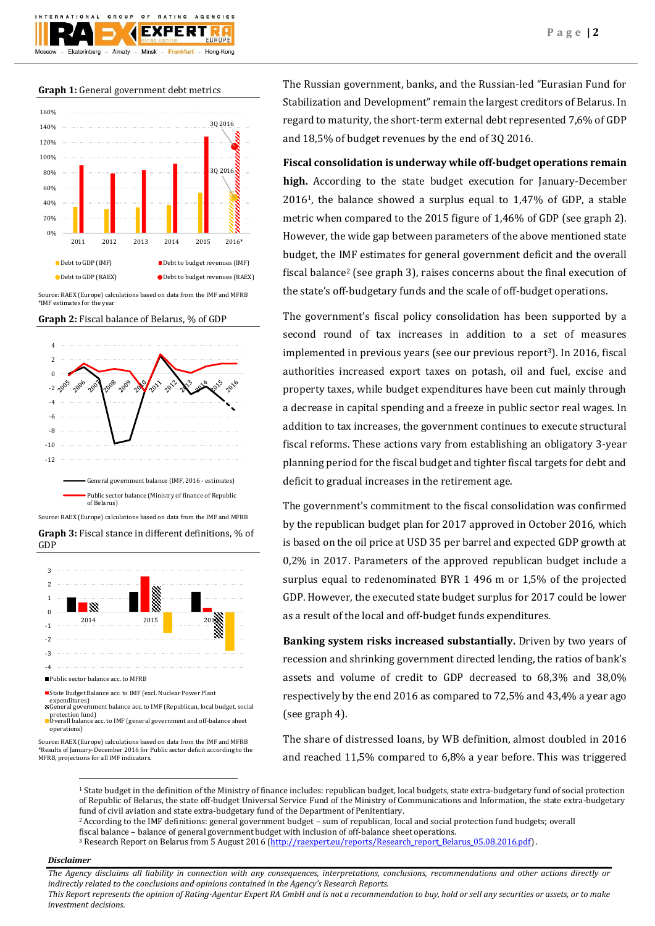

**Graph 1:** General government debt metrics



Source: RAEX (Europe) calculations based on data from the IMF and MFRB \*IMF estimates for the year

**Graph 2:** Fiscal balance of Belarus, % of GDP







expenditures) General government balance acc. to IMF (Republican, local budget, social

protection fund) Overall balance acc. to IMF (general government and off-balance sheet

Source: RAEX (Europe) calculations based on data from the IMF and MFRB operations)

\*Results of January-December 2016 for Public sector deficit according to the MFRB, projections for all IMF indicators.

The Russian government, banks, and the Russian-led "Eurasian Fund for Stabilization and Development" remain the largest creditors of Belarus. In regard to maturity, the short-term external debt represented 7,6% of GDP and 18,5% of budget revenues by the end of 3Q 2016.

# **Fiscal consolidation is underway while off-budget operations remain**

**high.** According to the state budget execution for January-December 20161, the balance showed a surplus equal to 1,47% of GDP, a stable metric when compared to the 2015 figure of 1,46% of GDP (see graph 2). However, the wide gap between parameters of the above mentioned state budget, the IMF estimates for general government deficit and the overall fiscal balance<sup>2</sup> (see graph 3), raises concerns about the final execution of the state's off-budgetary funds and the scale of off-budget operations.

The government's fiscal policy consolidation has been supported by a second round of tax increases in addition to a set of measures implemented in previous years (see our previous report3). In 2016, fiscal authorities increased export taxes on potash, oil and fuel, excise and property taxes, while budget expenditures have been cut mainly through a decrease in capital spending and a freeze in public sector real wages. In addition to tax increases, the government continues to execute structural fiscal reforms. These actions vary from establishing an obligatory 3-year planning period for the fiscal budget and tighter fiscal targets for debt and deficit to gradual increases in the retirement age.

The government's commitment to the fiscal consolidation was confirmed by the republican budget plan for 2017 approved in October 2016, which is based on the oil price at USD 35 per barrel and expected GDP growth at 0,2% in 2017. Parameters of the approved republican budget include a surplus equal to redenominated BYR 1 496 m or 1,5% of the projected GDP. However, the executed state budget surplus for 2017 could be lower as a result of the local and off-budget funds expenditures.

**Banking system risks increased substantially.** Driven by two years of recession and shrinking government directed lending, the ratios of bank's assets and volume of credit to GDP decreased to 68,3% and 38,0% respectively by the end 2016 as compared to 72,5% and 43,4% a year ago (see graph 4).

The share of distressed loans, by WB definition, almost doubled in 2016 and reached 11,5% compared to 6,8% a year before. This was triggered

<sup>1</sup> State budget in the definition of the Ministry of finance includes: republican budget, local budgets, state extra-budgetary fund of social protection of Republic of Belarus, the state off-budget Universal Service Fund of the Ministry of Communications and Information, the state extra-budgetary fund of civil aviation and state extra-budgetary fund of the Department of Penitentiary.

<sup>2</sup>According to the IMF definitions: general government budget – sum of republican, local and social protection fund budgets; overall fiscal balance – balance of general government budget with inclusion of off-balance sheet operations.

<sup>3</sup> Research Report on Belarus from 5 August 2016 [\(http://raexpert.eu/reports/Research\\_report\\_Belarus\\_05.08.2016.pdf\)](http://raexpert.eu/reports/Research_report_Belarus_05.08.2016.pdf) .

# *Disclaimer*

1

*The Agency disclaims all liability in connection with any consequences, interpretations, conclusions, recommendations and other actions directly or indirectly related to the conclusions and opinions contained in the Agency's Research Reports.*

*This Report represents the opinion of Rating-Agentur Expert RA GmbH and is not a recommendation to buy, hold or sell any securities or assets, or to make investment decisions.*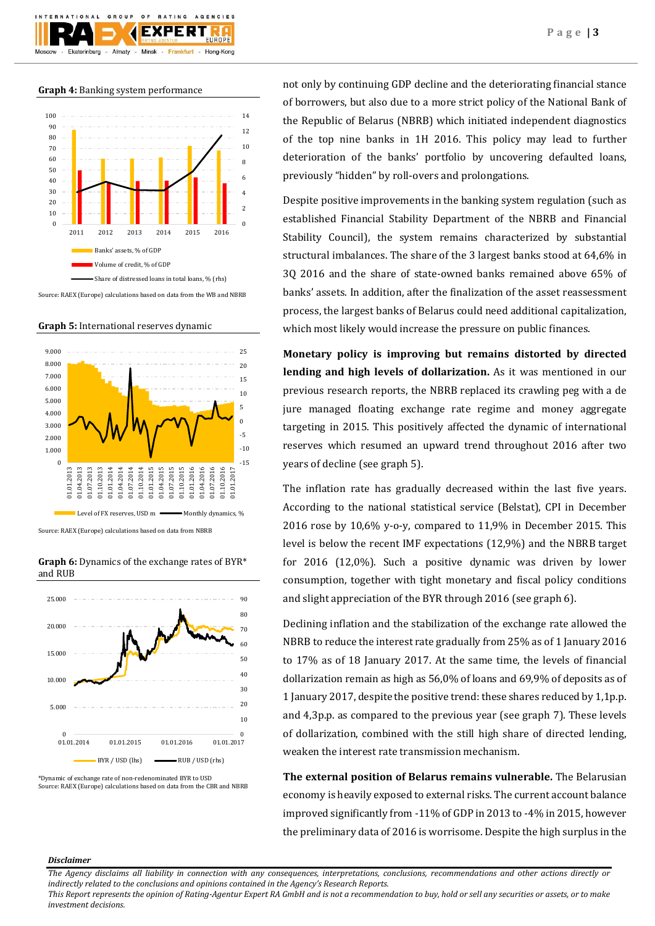**Graph 4:** Banking system performance

Almaty -

GROUP

 $10N$ 

Ekaterinburg

 $O F$ 

Minsk -

**BATING** 

**EXPERT** 

Frankfurt

AGENCIES

Hong-Kong



Source: RAEX (Europe) calculations based on data from the WB and NBRB

**Graph 5:** International reserves dynamic



Source: RAEX (Europe) calculations based on data from NBRB

**Graph 6:** Dynamics of the exchange rates of BYR\* and RUB



Source: RAEX (Europe) calculations based on data from the CBR and NBRB

not only by continuing GDP decline and the deteriorating financial stance of borrowers, but also due to a more strict policy of the National Bank of the Republic of Belarus (NBRB) which initiated independent diagnostics of the top nine banks in 1H 2016. This policy may lead to further deterioration of the banks' portfolio by uncovering defaulted loans, previously "hidden" by roll-overs and prolongations.

Despite positive improvements in the banking system regulation (such as established Financial Stability Department of the NBRB and Financial Stability Council), the system remains characterized by substantial structural imbalances. The share of the 3 largest banks stood at 64,6% in 3Q 2016 and the share of state-owned banks remained above 65% of banks' assets. In addition, after the finalization of the asset reassessment process, the largest banks of Belarus could need additional capitalization, which most likely would increase the pressure on public finances.

**Monetary policy is improving but remains distorted by directed lending and high levels of dollarization.** As it was mentioned in our previous research reports, the NBRB replaced its crawling peg with a de jure managed floating exchange rate regime and money aggregate targeting in 2015. This positively affected the dynamic of international reserves which resumed an upward trend throughout 2016 after two years of decline (see graph 5).

The inflation rate has gradually decreased within the last five years. According to the national statistical service (Belstat), CPI in December 2016 rose by 10,6% y-o-y, compared to 11,9% in December 2015. This level is below the recent IMF expectations (12,9%) and the NBRB target for 2016 (12,0%). Such a positive dynamic was driven by lower consumption, together with tight monetary and fiscal policy conditions and slight appreciation of the BYR through 2016 (see graph 6).

Declining inflation and the stabilization of the exchange rate allowed the NBRB to reduce the interest rate gradually from 25% as of 1 January 2016 to 17% as of 18 January 2017. At the same time, the levels of financial dollarization remain as high as 56,0% of loans and 69,9% of deposits as of 1 January 2017, despite the positive trend: these shares reduced by 1,1p.p. and 4,3p.p. as compared to the previous year (see graph 7). These levels of dollarization, combined with the still high share of directed lending, weaken the interest rate transmission mechanism.

**The external position of Belarus remains vulnerable.** The Belarusian economy is heavily exposed to external risks. The current account balance improved significantly from -11% of GDP in 2013 to -4% in 2015, however the preliminary data of 2016 is worrisome. Despite the high surplus in the

## *Disclaimer*

*This Report represents the opinion of Rating-Agentur Expert RA GmbH and is not a recommendation to buy, hold or sell any securities or assets, or to make investment decisions.*

*The Agency disclaims all liability in connection with any consequences, interpretations, conclusions, recommendations and other actions directly or indirectly related to the conclusions and opinions contained in the Agency's Research Reports.*